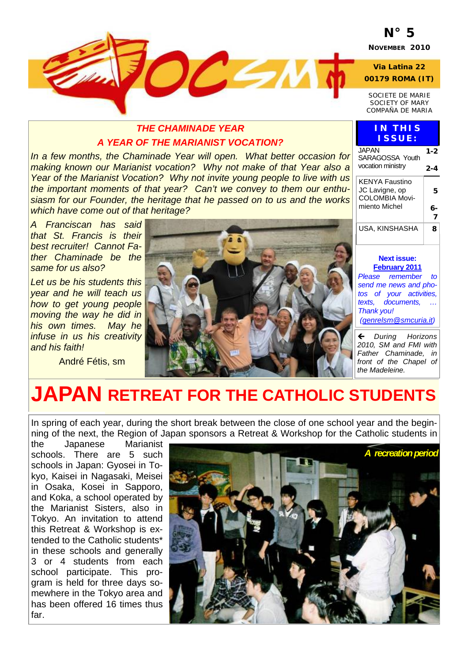## **N° 5**

**NOVEMBER 2010** 

**Via Latina 22 00179 ROMA (IT)** 

*SOCIETE DE MARIE SOCIETY OF MARY COMPAÑA DE MARIA* 

> **IN THIS ISSUE:**

> > **1-2**

**2-4** 

**5** 

### *THE CHAMINADE YEAR A YEAR OF THE MARIANIST VOCATION?*

 $DC < 1$ 

*In a few months, the Chaminade Year will open. What better occasion for making known our Marianist vocation? Why not make of that Year also a Year of the Marianist Vocation? Why not invite young people to live with us the important moments of that year? Can't we convey to them our enthusiasm for our Founder, the heritage that he passed on to us and the works which have come out of that heritage?* 

*A Franciscan has said that St. Francis is their best recruiter! Cannot Father Chaminade be the same for us also?* 

*Let us be his students this year and he will teach us how to get young people moving the way he did in his own times. May he infuse in us his creativity and his faith!* 

André Fétis, sm



#### **Next issue: February 2011** *Please remember to send me news and photos of your activities, texts, documents, … Thank you!*  COLOMBIA Movimiento Michel **6- 7**  USA, KINSHASHA **8**

JAPAN

SARAGOSSA Youth vocation ministry

KENYA Faustino JC Lavigne, op

*(genrelsm@smcuria.it)*

» *During Horizons 2010, SM and FMI with Father Chaminade, in front of the Chapel of the Madeleine.* 

# **JAPAN RETREAT FOR THE CATHOLIC STUDENTS**

In spring of each year, during the short break between the close of one school year and the beginning of the next, the Region of Japan sponsors a Retreat & Workshop for the Catholic students in

the Japanese Marianist schools. There are 5 such schools in Japan: Gyosei in Tokyo, Kaisei in Nagasaki, Meisei in Osaka, Kosei in Sapporo, and Koka, a school operated by the Marianist Sisters, also in Tokyo. An invitation to attend this Retreat & Workshop is extended to the Catholic students\* in these schools and generally 3 or 4 students from each school participate. This program is held for three days somewhere in the Tokyo area and has been offered 16 times thus far.

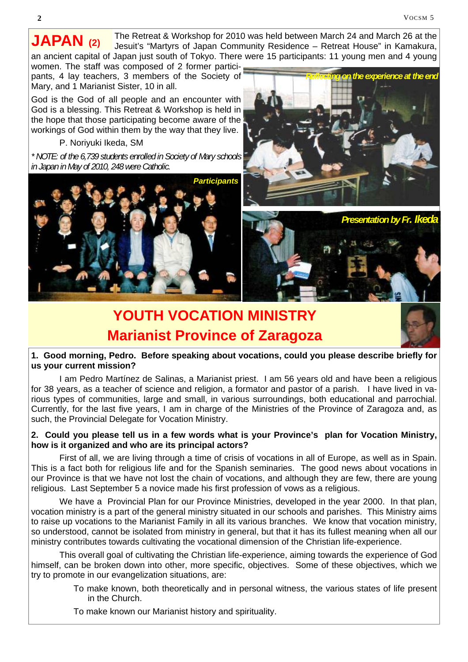The Retreat & Workshop for 2010 was held between March 24 and March 26 at the Jesuit's "Martyrs of Japan Community Residence – Retreat House" in Kamakura, an ancient capital of Japan just south of Tokyo. There were 15 participants: 11 young men and 4 young **JAPAN (2)**

women. The staff was composed of 2 former participants, 4 lay teachers, 3 members of the Society of Mary, and 1 Marianist Sister, 10 in all.

God is the God of all people and an encounter with God is a blessing. This Retreat & Workshop is held in the hope that those participating become aware of the workings of God within them by the way that they live.

P. Noriyuki Ikeda, SM

*\* NOTE: of the 6,739 students enrolled in Society of Mary schools in Japan in May of 2010, 248 were Catholic.*







## **YOUTH VOCATION MINISTRY Marianist Province of Zaragoza**



 I am Pedro Martínez de Salinas, a Marianist priest. I am 56 years old and have been a religious for 38 years, as a teacher of science and religion, a formator and pastor of a parish. I have lived in various types of communities, large and small, in various surroundings, both educational and parrochial. Currently, for the last five years, I am in charge of the Ministries of the Province of Zaragoza and, as such, the Provincial Delegate for Vocation Ministry.

#### **2. Could you please tell us in a few words what is your Province's plan for Vocation Ministry, how is it organized and who are its principal actors?**

First of all, we are living through a time of crisis of vocations in all of Europe, as well as in Spain. This is a fact both for religious life and for the Spanish seminaries. The good news about vocations in our Province is that we have not lost the chain of vocations, and although they are few, there are young religious. Last September 5 a novice made his first profession of vows as a religious.

 We have a Provincial Plan for our Province Ministries, developed in the year 2000. In that plan, vocation ministry is a part of the general ministry situated in our schools and parishes. This Ministry aims to raise up vocations to the Marianist Family in all its various branches. We know that vocation ministry, so understood, cannot be isolated from ministry in general, but that it has its fullest meaning when all our ministry contributes towards cultivating the vocational dimension of the Christian life-experience.

 This overall goal of cultivating the Christian life-experience, aiming towards the experience of God himself, can be broken down into other, more specific, objectives. Some of these objectives, which we try to promote in our evangelization situations, are:

> To make known, both theoretically and in personal witness, the various states of life present in the Church.

To make known our Marianist history and spirituality.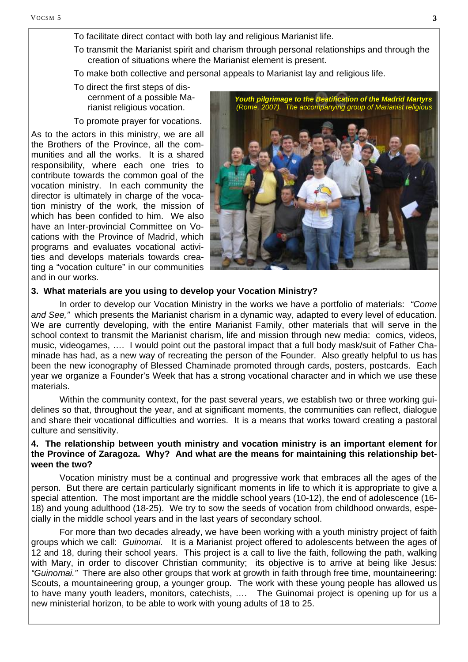- To facilitate direct contact with both lay and religious Marianist life.
- To transmit the Marianist spirit and charism through personal relationships and through the creation of situations where the Marianist element is present.
- To make both collective and personal appeals to Marianist lay and religious life.

#### To direct the first steps of discernment of a possible Marianist religious vocation.

#### To promote prayer for vocations.

As to the actors in this ministry, we are all the Brothers of the Province, all the communities and all the works. It is a shared responsibility, where each one tries to contribute towards the common goal of the vocation ministry. In each community the director is ultimately in charge of the vocation ministry of the work, the mission of which has been confided to him. We also have an Inter-provincial Committee on Vocations with the Province of Madrid, which programs and evaluates vocational activities and develops materials towards creating a "vocation culture" in our communities and in our works.



#### **3. What materials are you using to develop your Vocation Ministry?**

 In order to develop our Vocation Ministry in the works we have a portfolio of materials: *"Come and See,"* which presents the Marianist charism in a dynamic way, adapted to every level of education. We are currently developing, with the entire Marianist Family, other materials that will serve in the school context to transmit the Marianist charism, life and mission through new media: comics, videos, music, videogames, …. I would point out the pastoral impact that a full body mask/suit of Father Chaminade has had, as a new way of recreating the person of the Founder. Also greatly helpful to us has been the new iconography of Blessed Chaminade promoted through cards, posters, postcards. Each year we organize a Founder's Week that has a strong vocational character and in which we use these materials.

 Within the community context, for the past several years, we establish two or three working guidelines so that, throughout the year, and at significant moments, the communities can reflect, dialogue and share their vocational difficulties and worries. It is a means that works toward creating a pastoral culture and sensitivity.

#### **4. The relationship between youth ministry and vocation ministry is an important element for the Province of Zaragoza. Why? And what are the means for maintaining this relationship between the two?**

 Vocation ministry must be a continual and progressive work that embraces all the ages of the person. But there are certain particularly significant moments in life to which it is appropriate to give a special attention. The most important are the middle school years (10-12), the end of adolescence (16- 18) and young adulthood (18-25). We try to sow the seeds of vocation from childhood onwards, especially in the middle school years and in the last years of secondary school.

 For more than two decades already, we have been working with a youth ministry project of faith groups which we call: *Guinomai.* It is a Marianist project offered to adolescents between the ages of 12 and 18, during their school years. This project is a call to live the faith, following the path, walking with Mary, in order to discover Christian community; its objective is to arrive at being like Jesus: *"Guinomai."* There are also other groups that work at growth in faith through free time, mountaineering: Scouts, a mountaineering group, a younger group. The work with these young people has allowed us to have many youth leaders, monitors, catechists, …. The Guinomai project is opening up for us a new ministerial horizon, to be able to work with young adults of 18 to 25.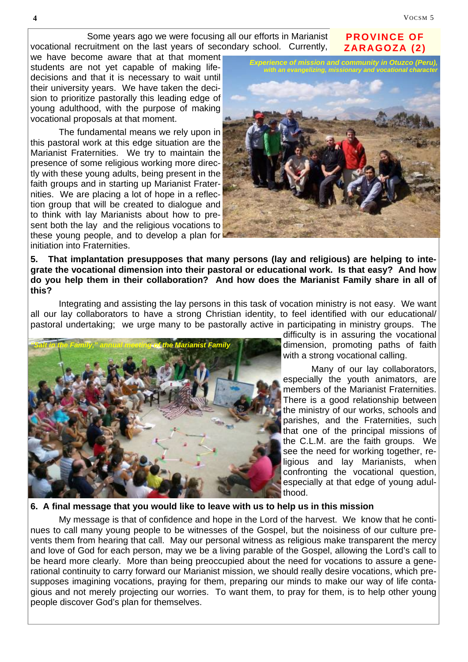**PROVINCE OF ZARAGOZA (2)** 

 Some years ago we were focusing all our efforts in Marianist vocational recruitment on the last years of secondary school. Currently,

we have become aware that at that moment students are not yet capable of making lifedecisions and that it is necessary to wait until their university years. We have taken the decision to prioritize pastorally this leading edge of young adulthood, with the purpose of making vocational proposals at that moment.

 The fundamental means we rely upon in this pastoral work at this edge situation are the Marianist Fraternities. We try to maintain the presence of some religious working more directly with these young adults, being present in the faith groups and in starting up Marianist Fraternities. We are placing a lot of hope in a reflection group that will be created to dialogue and to think with lay Marianists about how to present both the lay and the religious vocations to these young people, and to develop a plan for initiation into Fraternities.



**5. That implantation presupposes that many persons (lay and religious) are helping to integrate the vocational dimension into their pastoral or educational work. Is that easy? And how do you help them in their collaboration? And how does the Marianist Family share in all of this?** 

 Integrating and assisting the lay persons in this task of vocation ministry is not easy. We want all our lay collaborators to have a strong Christian identity, to feel identified with our educational/ pastoral undertaking; we urge many to be pastorally active in participating in ministry groups. The



difficulty is in assuring the vocational dimension, promoting paths of faith with a strong vocational calling.

 Many of our lay collaborators, especially the youth animators, are members of the Marianist Fraternities. There is a good relationship between the ministry of our works, schools and parishes, and the Fraternities, such that one of the principal missions of the C.L.M. are the faith groups. We see the need for working together, religious and lay Marianists, when confronting the vocational question, especially at that edge of young adulthood.

#### **6. A final message that you would like to leave with us to help us in this mission**

 My message is that of confidence and hope in the Lord of the harvest. We know that he continues to call many young people to be witnesses of the Gospel, but the noisiness of our culture prevents them from hearing that call. May our personal witness as religious make transparent the mercy and love of God for each person, may we be a living parable of the Gospel, allowing the Lord's call to be heard more clearly. More than being preoccupied about the need for vocations to assure a generational continuity to carry forward our Marianist mission, we should really desire vocations, which presupposes imagining vocations, praying for them, preparing our minds to make our way of life contagious and not merely projecting our worries. To want them, to pray for them, is to help other young people discover God's plan for themselves.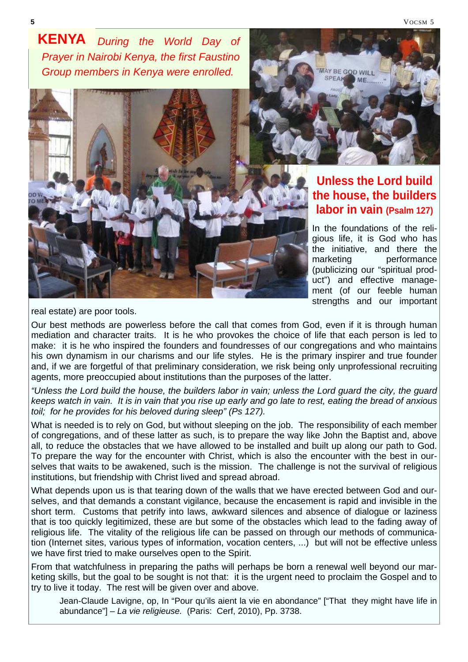VOCSM 5

*During the World Day of Prayer in Nairobi Kenya, the first Faustino Group members in Kenya were enrolled.*  **KENYA** 



AY BE GOD WILL SPEAR

## **Unless the Lord build the house, the builders labor in vain (Psalm 127)**

In the foundations of the religious life, it is God who has the initiative, and there the marketing performance (publicizing our "spiritual product") and effective management (of our feeble human strengths and our important

real estate) are poor tools.

Our best methods are powerless before the call that comes from God, even if it is through human mediation and character traits. It is he who provokes the choice of life that each person is led to make: it is he who inspired the founders and foundresses of our congregations and who maintains his own dynamism in our charisms and our life styles. He is the primary inspirer and true founder and, if we are forgetful of that preliminary consideration, we risk being only unprofessional recruiting agents, more preoccupied about institutions than the purposes of the latter.

*"Unless the Lord build the house, the builders labor in vain; unless the Lord guard the city, the guard keeps watch in vain. It is in vain that you rise up early and go late to rest, eating the bread of anxious*  toil; for he provides for his beloved during sleep" (Ps 127).

What is needed is to rely on God, but without sleeping on the job. The responsibility of each member of congregations, and of these latter as such, is to prepare the way like John the Baptist and, above all, to reduce the obstacles that we have allowed to be installed and built up along our path to God. To prepare the way for the encounter with Christ, which is also the encounter with the best in ourselves that waits to be awakened, such is the mission. The challenge is not the survival of religious institutions, but friendship with Christ lived and spread abroad.

What depends upon us is that tearing down of the walls that we have erected between God and ourselves, and that demands a constant vigilance, because the encasement is rapid and invisible in the short term. Customs that petrify into laws, awkward silences and absence of dialogue or laziness that is too quickly legitimized, these are but some of the obstacles which lead to the fading away of religious life. The vitality of the religious life can be passed on through our methods of communication (Internet sites, various types of information, vocation centers, ...) but will not be effective unless we have first tried to make ourselves open to the Spirit.

From that watchfulness in preparing the paths will perhaps be born a renewal well beyond our marketing skills, but the goal to be sought is not that: it is the urgent need to proclaim the Gospel and to try to live it today. The rest will be given over and above.

Jean-Claude Lavigne, op, In "Pour qu'ils aient la vie en abondance" ["That they might have life in abundance"] – *La vie religieuse.* (Paris: Cerf, 2010), Pp. 3738.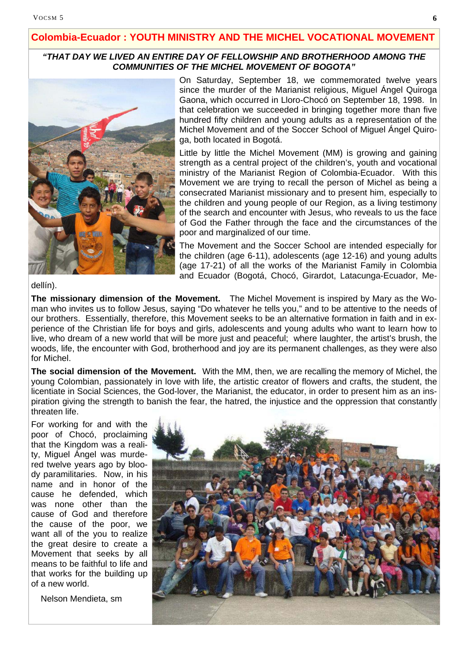#### **Colombia-Ecuador : YOUTH MINISTRY AND THE MICHEL VOCATIONAL MOVEMENT**

#### *"THAT DAY WE LIVED AN ENTIRE DAY OF FELLOWSHIP AND BROTHERHOOD AMONG THE COMMUNITIES OF THE MICHEL MOVEMENT OF BOGOTA"*



On Saturday, September 18, we commemorated twelve years since the murder of the Marianist religious, Miguel Ángel Quiroga Gaona, which occurred in Lloro-Chocó on September 18, 1998. In that celebration we succeeded in bringing together more than five hundred fifty children and young adults as a representation of the Michel Movement and of the Soccer School of Miguel Ángel Quiroga, both located in Bogotá.

Little by little the Michel Movement (MM) is growing and gaining strength as a central project of the children's, youth and vocational ministry of the Marianist Region of Colombia-Ecuador. With this Movement we are trying to recall the person of Michel as being a consecrated Marianist missionary and to present him, especially to the children and young people of our Region, as a living testimony of the search and encounter with Jesus, who reveals to us the face of God the Father through the face and the circumstances of the poor and marginalized of our time.

The Movement and the Soccer School are intended especially for the children (age 6-11), adolescents (age 12-16) and young adults (age 17-21) of all the works of the Marianist Family in Colombia and Ecuador (Bogotá, Chocó, Girardot, Latacunga-Ecuador, Me-

dellín).

**The missionary dimension of the Movement.** The Michel Movement is inspired by Mary as the Woman who invites us to follow Jesus, saying "Do whatever he tells you," and to be attentive to the needs of our brothers. Essentially, therefore, this Movement seeks to be an alternative formation in faith and in experience of the Christian life for boys and girls, adolescents and young adults who want to learn how to live, who dream of a new world that will be more just and peaceful; where laughter, the artist's brush, the woods, life, the encounter with God, brotherhood and joy are its permanent challenges, as they were also for Michel.

**The social dimension of the Movement.** With the MM, then, we are recalling the memory of Michel, the young Colombian, passionately in love with life, the artistic creator of flowers and crafts, the student, the licentiate in Social Sciences, the God-lover, the Marianist, the educator, in order to present him as an inspiration giving the strength to banish the fear, the hatred, the injustice and the oppression that constantly threaten life.

For working for and with the poor of Chocó, proclaiming that the Kingdom was a reality, Miguel Ángel was murdered twelve years ago by bloody paramilitaries. Now, in his name and in honor of the cause he defended, which was none other than the cause of God and therefore the cause of the poor, we want all of the you to realize the great desire to create a Movement that seeks by all means to be faithful to life and that works for the building up of a new world.

Nelson Mendieta, sm

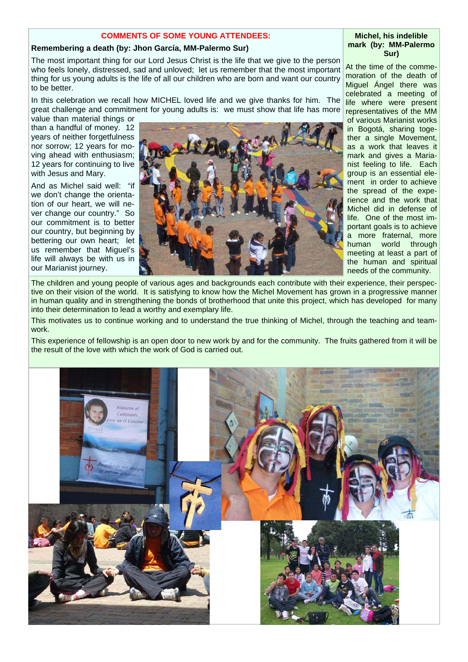#### **COMMENTS OF SOME YOUNG ATTENDEES:**

#### **Remembering a death (by: Jhon García, MM-Palermo Sur)**

The most important thing for our Lord Jesus Christ is the life that we give to the person who feels lonely, distressed, sad and unloved; let us remember that the most important thing for us young adults is the life of all our children who are born and want our country to be better.

In this celebration we recall how MICHEL loved life and we give thanks for him. The great challenge and commitment for young adults is: we must show that life has more

value than material things or than a handful of money. 12 years of neither forgetfulness nor sorrow; 12 years for moving ahead with enthusiasm; 12 years for continuing to live with Jesus and Mary.

And as Michel said well: "if we don't change the orientation of our heart, we will never change our country." So our commitment is to better our country, but beginning by bettering our own heart; let us remember that Miguel's life will always be with us in our Marianist journey.



At the time of the commemoration of the death of Miguel Ángel there was celebrated a meeting of life where were present representatives of the MM of various Marianist works in Bogotá, sharing together a single Movement, as a work that leaves it mark and gives a Marianist feeling to life. Each group is an essential element in order to achieve the spread of the experience and the work that Michel did in defense of life. One of the most important goals is to achieve a more fraternal, more human world through meeting at least a part of the human and spiritual needs of the community.

The children and young people of various ages and backgrounds each contribute with their experience, their perspective on their vision of the world. It is satisfying to know how the Michel Movement has grown in a progressive manner in human quality and in strengthening the bonds of brotherhood that unite this project, which has developed for many into their determination to lead a worthy and exemplary life.

This motivates us to continue working and to understand the true thinking of Michel, through the teaching and teamwork.

This experience of fellowship is an open door to new work by and for the community. The fruits gathered from it will be the result of the love with which the work of God is carried out.



#### **Michel, his indelible mark (by: MM-Palermo Sur)**